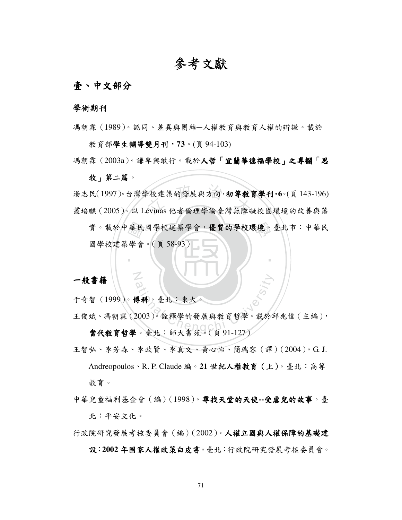# 參考文獻

### 壹、中文部分

#### 學術期刊

馮朝霖(1989)。認同、差異與團結─人權教育與教育人權的辯證。載於

教育部學生輔導雙月刊,73。(頁 94-103)

馮朝霖(2003a)。謙卑與敢行。載於人哲「宜蘭華德福學校」之專欄「思

#### 牧」第二篇。

』校建築的發展與方向,初<mark>等教</mark><br>évinas 他者倫理學論臺灣無障 湯志民(1997)。台灣學校建築的發展與方向,初等教育學刊,**6**。(頁 143-196) 叢培麒(2005)。以 Lévinas 他者倫理學論臺灣無障礙校園環境的改善與落

華學 實。載於中華民國學校建築學會,優質的學校環境。臺北市:中華民 國學校建築學會。(頁 58-93)

‧

#### 一般書籍

于奇智(1999)。傅科。臺北:東大。

N

**専科。臺北:東大。**<br>2003)。詮釋學的發展與教育哲學。載於<br>.。臺北:師大書茹。(百 91-127) 王俊斌、馮朝霖(2003)。詮釋學的發展與教育哲學。載於邱兆偉(主編), 當代教育哲學。臺北:師大書苑。(頁91-127)

王智弘、李芳森、李政賢、李真文、黃心怡、簡瑞容(譯)(2004)。G. J. Andreopoulos、R. P. Claude 編。21 世紀人權教育 (上)。臺北:高等 教育。

中華兒童福利基金會(編)(1998)。**尋找天堂的天使--受虐兒的故事**。臺 北:平安文化。

行政院研究發展考核委員會(編)(2002)。人權立國與人權保障的基礎建

#### 設:2002年國家人權政策白皮書。臺北:行政院研究發展考核委員會。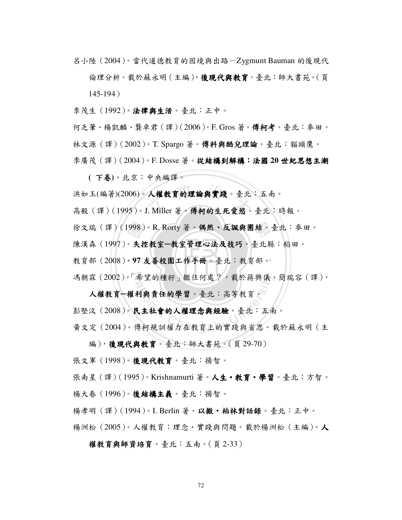呂小陸(2004)。當代道德教育的困境與出路-Zygmunt Bauman 的後現代

倫理分析。載於蘇永明 (主編), 後現代與教育。臺北:師大書苑。(頁 145-194)

李茂生(1992)。法律與生活。臺北:正中。

何乏筆、楊凱麟、龔卓君(譯)(2006)。F. Gros 著。傅柯考。臺北:麥田。 林文源 ( 譯 ) (2002)。T. Spargo 著。傳科與酷兒理論。臺北: 貓頭鷹。 季廣茂(譯)(2004)。F. Dosse 著。從結構到解構:法國 **20** 世紀思想主潮

**(** 下卷**)**。北京:中央編譯。

人權教育的理論與實踐。臺北<br>I. Miller 著。傅柯的生死愛慾。 洪如玉(編著)(2006)。人權教育的理論與實踐。臺北:五南。

高毅 (譯)(1995)。J. Miller 著。傅柯的生死愛慾。臺北:時報。

徐文瑞(譯)(1998)。R. Rorty 著。偶然、反諷與團結。臺北: 麥田。

陳漢森(1997)。失控教室一教室管理心法及技巧。臺北縣:稻田。

教育部(2008)。97 友善校園工作手冊。臺北:教育部。 998)<br>。失<br>。97

馮朝霖(2002)。「希望的種籽」撒往何處?,載於蔣興儀、簡瑞容(譯),

希望的種籽」撒往何處?,載於蔣興儀、<br>2<br>**利與責任的學習**。臺北:高等教育。<br>**民主社會的人權理念與經驗**。臺北:五侯<br>傅柯規訓權力在教育上的實踐與省思。 人權教育一權利與責任的學習。臺北:高等教育。 彭堅汶(2008)。民主社會的人權理念與經驗。臺北:五南。

黃文定(2004)。傅柯規訓權力在教育上的實踐與省思。載於蘇永明(主

編),後現代與教育。臺北:師大書苑。(頁 29-70)

張文軍(1998)。後現代教育。臺北:揚智。

張南星 ( 譯 ) (1995 )。Krishnamurti 著。 人生 • 教育 • 學習。臺北:方智。

楊大春(1996)。後結構主義。臺北:揚智。

楊孝明 ( 譯 ) (1994)。I. Berlin 著。以撒·柏林對話錄。臺北:正中。

楊洲松(2005)。人權教育:理念、實踐與問題。載於楊洲松(主編)。人

權教育與師資培育。臺北:五南。(頁2-33)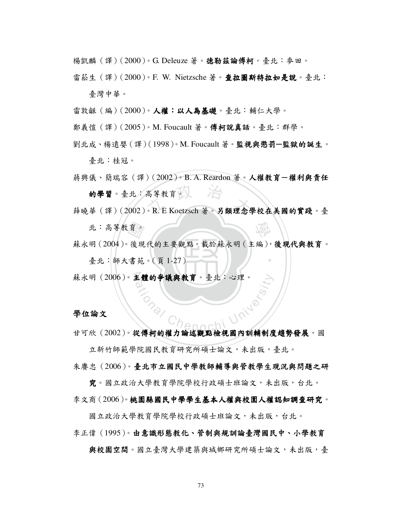楊凱麟(譯)(2000)。G. Deleuze 著。德勒茲論傅柯。臺北:麥田。

雷菘生 (譯)(2000)。F. W. Nietzsche 著。查拉圖斯特拉如是說。臺北: 臺灣中華。

雷敦龢 (編) (2000)。人權:以人為基礎。臺北:輔仁大學。

鄭義愷 (譯) (2005)。M. Foucault 著。**傅柯說真話**。臺北:群學。

劉北成、楊遠嬰(譯)(1998)。M. Foucault 著。監視與懲罰**─**監獄的誕生。

臺北:桂冠。

高等教育区<br>• R. E Koetzsch 著。另類理念學 蔣興儀、簡瑞容(譯)(2002)。B. A. Reardon 著。人權教育一權利與責任 的學習。臺北:高等教育。

學 薛曉華(譯)(2002)。R. E Koetzsch 著。另類理念學校在美國的實踐。臺 北:高等教育。

育 後 書 蘇永明(2004)。後現代的主要觀點。載於蘇永明(主編),後現代與教育。

‧

臺北:師大書苑。(頁1-27)

蘇永明 (2006)。主體的爭議與教育。臺北:心理。 <sup>a</sup>t<sup>i</sup>ona<sup>l</sup> <sup>C</sup>hengch<sup>i</sup> <sup>U</sup>nivers<sup>i</sup>t<sup>y</sup>

#### 學位論文

甘可欣(2002)。從傅柯的權力論述觀點檢視國內訓輔制度趨勢發展。國

立新竹師範學院國民教育研究所碩士論文,未出版,臺北。 朱摩忠(2006)。臺北市立國民中學教師輔導與管教學生現況與問題之研

究。國立政治大學教育學院學校行政碩士班論文,未出版,台北。 李文商(2006)。桃園縣國民中學學生基本人權與校園人權認知調查研究。

國立政治大學教育學院學校行政碩士班論文,未出版,台北。

李正偉(1995)。由意識形態教化、管制與規訓論臺灣國民中、小學教育

與校園空間。國立臺灣大學建築與城鄉研究所碩士論文,未出版,臺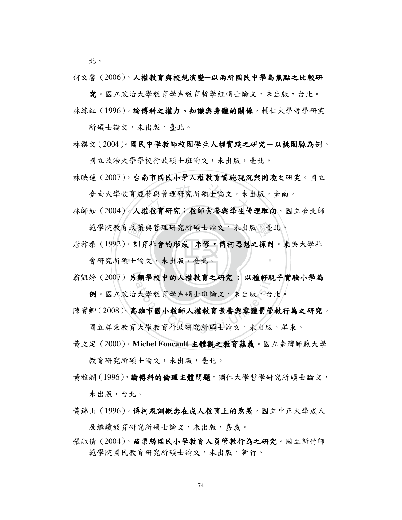北。

何文馨(2006)。人權教育與校規演變—以兩所國民中學為焦點之比較研

究。國立政治大學教育學系教育哲學組碩士論文,未出版,台北。 林綠紅 (1996)。論傅科之權力、知識與身體的關係。輔仁大學哲學研究

所碩士論文,未出版,臺北。

林祺文(2004)。國民中學教師校園學生人權實踐之研究一以桃園縣為例。

國立政治大學學校行政碩士班論文,未出版,臺北。

林映蓮(2007)。台南市國民小學人權教育實施現況與困境之研究。國立

臺南大學教育經營與管理研究所碩士論文,未出版,臺南。

臺南大學教育經營與管理研究所碩士論文,未出版,臺南。<br>林師如 (2004)。人權教育研究:教師素養與學生管理取向。國立臺北師

- 會研究所碩士論文,未出版,臺北。 範學院教育政策與管理研究所碩士論文,未出版,臺北。<br>泰 (1992)。訓育社會的形成-米修·傅柯思想之探討。東<br>會研究所碩士論文,未出版,臺北。 ‧ 唐祚泰 (1992)。訓育社會的形成-米修·傅柯思想之探討。東吳大學社
- 翁凱婷(2007)另類學校中的人權教育之研究: 以種籽親子實驗小學為<br>例。國立政治大學教育學系碩士班論文,未出版,台北。<br>陳寶卿(2008)。高雄市國小教師人權教育素養與零體罰管教行為之研究<br>國立屏東教育大學教育行政研究所碩士論文,未出版,屏東。 例。國立政治大學教育學系碩士班論文,未出版,台北。

陳寶卿(2008)。高雄市國小教師人權教育素養與零體罰管教行為之研究。

國立屏東教育大學教育行政研究所碩士論文,未出版,屏東。

黃文定(2000)。Michel Foucault 主體觀之教育蘊義。國立臺灣師範大學

教育研究所碩士論文,未出版,臺北。

- 黃雅嫺(1996)。**論傅科的倫理主體問題**。輔仁大學哲學研究所碩士論文, 未出版,台北。
- 黃錦山(1996)。傅柯規訓概念在成人教育上的意義。國立中正大學成人 及繼續教育研究所碩士論文,未出版,嘉義。
- 張淑倩(2004)。苗栗縣國民小學教育人員管教行為之研究。國立新竹師 範學院國民教育硏究所碩士論文,未出版,新竹。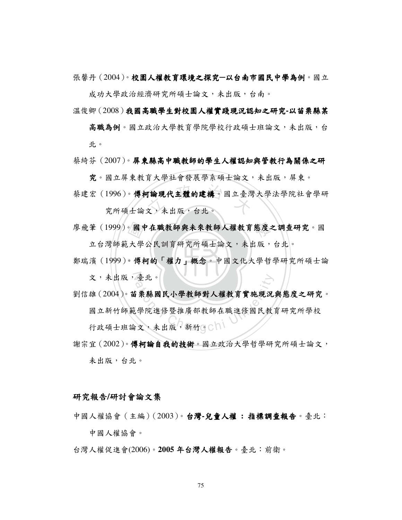張馨丹(2004)。校園人權教育環境之探究一以台南市國民中學為例。國立

成功大學政治經濟研究所碩士論文,未出版,台南。

- 溫俊卿(2008)我國高職學生對校園人權實踐現況認知之研究-以苗栗縣某
	- 高職為例。國立政治大學教育學院學校行政碩士班論文,未出版,台 北。
- 蔡綺芬(2007)。屏東縣高中職教師的學生人權認知與管教行為關係之研

**究**。國立屏東教育大學社會發展學系碩士論文,未出版,屏東。

T論現代主體的建構。國立臺灣<br>文,未出版,台北。 蔡建宏(1996)。傅柯論現代主體的建構。國立臺灣大學法學院社會學研

究所碩士論文,未出版,台北。

立台灣師範大學公民訓育研究所碩士論文,未出版,台北。

- 鄭瑞濱 (1999)。傅柯的「權力」概念。中國文化大學哲學研究所碩士論 廖飛筆 (1999)。國中在職教師與未來教師人權教育態度之調查研究。國<br>立台灣師範大學公民訓育研究所碩士論文,未出版,台北。<br>鄭瑞濱 (1999)。傅柯的「權力」概念。中國文化大學哲學研究所碩士論 文,未出版,臺北。
- 劉信雄(2004)。苗栗縣國民小學教師對人權教育實施現況與態度之研究。

臺北。<br>;栗縣國民小學教師對人權教育實施現況<br><br>學院進修暨推廣部教師在職進修國民教<br>文,未出版,新竹。 國立新竹師範學院進修暨推廣部教師在職進修國民教育研究所學校 行政碩士班論文,未出版,新竹。

謝宗宜(2002)。傅柯論自我的技術。國立政治大學哲學研究所碩士論文, 未出版,台北。

#### 研究報告**/**研討會論文集

- 中國人權協會(主編)(2003)。台灣**-**兒童人權 **:** 指標調查報告。臺北: 指標調查報告 中國人權協會。
- 台灣人權促進會(2006)。2005年台灣人權報告。臺北:前衛。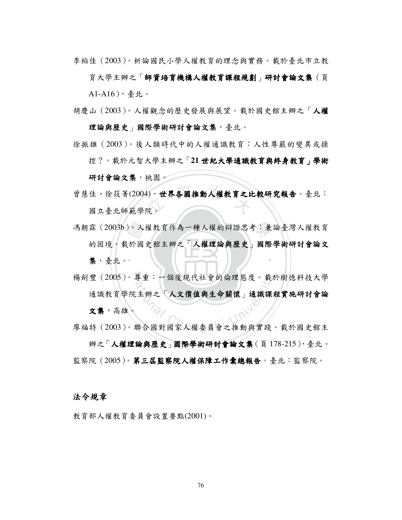李柏佳(2003)。析論國民小學人權教育的理念與實務。載於臺北市立教

育大學主辦之「師資培育機構人權教育課程規劃」研討會論文集(頁 A1-A16),臺北。

- 胡慶山(2003)。人權觀念的歷史發展與展望。載於國史館主辦之「人權 理論與歷史 國際學術研討會論文集,臺北。
- 徐振雄(2003)。後人類時代中的人權通識教育:人性尊嚴的變異或操

控?。載於元智大學主辦之「21世紀大學通識教育與終身教育」學術

研討會論文集,桃園。

- 1)。世界各國推動人權教育之比<br>完。 曾慧佳、徐筱菁(2004)。世界各國推動人權教育之比較研究報告。臺北: 國立臺北師範學院。
- 集,臺北。 馮朝霖(2003b)。人權教育作為一種人權的辯證思考:兼論臺灣人權教育的困境。載於國史館主辦之「人權理論與歷史」國際學術研討會論文<br>第,臺北。 ‧ 的困境。載於國史館主辦之「人權理論與歷史」國際學術研討會論文
- 揚劍豐(2005)。尊重:一個後現代社會的倫理態度。載於樹德科技大學 楊劍豐(2005)。尊重:一個後現代社會的倫理態度。載於樹德科技大學<br>通識教育學院主辦之「人文價值與生命關懷」通識課程實施研討會論<br>文集,高雄。<br>廖福特(2003)。聯合國對國家人權委員會之推動與實踐。載於國史館主 通識教育學院主辦之「人文價值與生命關懷」通識課程實施研討會論 文集,高雄。
- 辦之「人權理論與歷史」國際學術研討會論文集(頁178-215),臺北。 監察院(2005)。第三屆監察院人權保障工作彙總報告。臺北:監察院。

#### 法令規章

教育部人權教育委員會設置要點(2001)。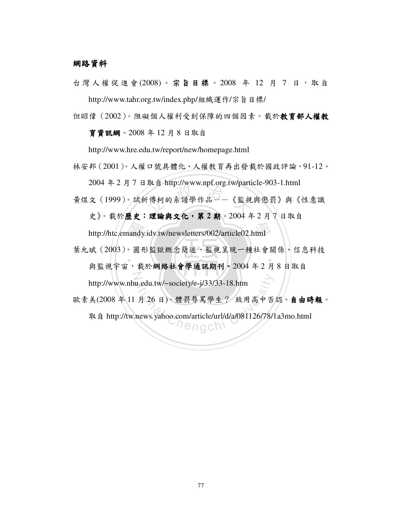#### 網路資料

台灣人權促進會(2008)。宗旨目標。2008年 12月7日, 取自 http://www.tahr.org.tw/index.php/組織運作/宗旨目標/

但昭偉(2002)。阻礙個人權利受到保障的四個因素。載於教育部人權教 育資訊網。2008 年 12 月 8 日取自

http://www.hre.edu.tw/report/new/homepage.html

林安邦(2001)。人權口號具體化、人權教育再出發載於國政評論,91-12。

2004 年 2 月 7 日取自 http://www.npf.org.tw/particle-903-1.html

状 自 intp://www.iipi.org.tw/patu<br><br>「傅柯的系譜學作品──《監視 黃煜文(1999)。試析傅柯的系譜學作品--《監視與懲罰》與《性意識

史》。載於歷史:理論與文化,第 **2** 期。2004 年 2 月 7 日取自

http://htc.emandy.idv.tw/newsletters/002/article02.html<br>斌 (2003)。圓形監獄概念簡述、監視呈現一種社會。<br>與監視字宮, 載於**網络社會學通訊期刊。**2004年2月 ‧ N 葉允斌(2003)。圓形監獄概念簡述、監視呈現一種社會關係、信息科技 與監視宇宙,載於網絡社會學通訊期刊。2004年2月8日取自

http://www.nhu.edu.tw/~society/e-j/33/33-18.htm

u.edu.tw/~society/e-j/33/33-18.htm<br>月 26 日)。體罰辱罵學生? 致用高中否<br>news.yahoo.com/article/url/d/a/081126/78/1 歐素美(2008 年 11 月 26 日)。體罰辱罵學生? 致用高中否認。自由時報。

取自 http://tw.news.yahoo.com/article/url/d/a/081126/78/1a3mo.html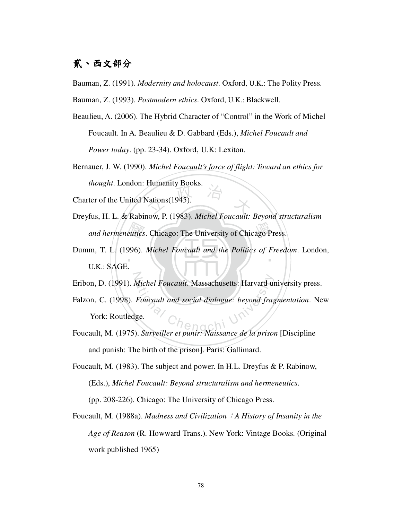## 貳、西文部分

Bauman, Z. (1991). *Modernity and holocaust*. Oxford, U.K.: The Polity Press.

Bauman, Z. (1993). *Postmodern ethics*. Oxford, U.K.: Blackwell.

- Beaulieu, A. (2006). The Hybrid Character of "Control" in the Work of Michel Foucault. In A. Beaulieu & D. Gabbard (Eds.), *Michel Foucault and Power today*. (pp. 23-34). Oxford, U.K: Lexiton.
- Nations (1945). Bernauer, J. W. (1990). *Michel Foucault's force of flight: Toward an ethics for thought*. London: Humanity Books.

Charter of the United Nations(1945).

- Dreyfus, H. L. & Rabinow, P. (1983). *Michel Foucault: Beyond structuralism*
- and hermeneutics. Chicago: The University of Chicago Press.<br>m, T. L. (1996). Michel Foucault and the Politics of Freedom.<br>U.K.: SAGE ‧ Dumm, T. L. (1996). *Michel Foucault and the Politics of Freedom*. London, U.K.: SAGE.
- N Eribon, D. (1991). *Michel Foucault*. Massachusetts: Harvard university press.
- Michel Foucault. Massachusetts: Harvard un<br>
Foucault and social dialogue: beyond fragge. Falzon, C. (1998). *Foucault and social dialogue: beyond fragmentation*. New York: Routledge.
- Foucault, M. (1975). *Surveiller et punir: Naissance de la prison* [Discipline and punish: The birth of the prison]. Paris: Gallimard.
- Foucault, M. (1983). The subject and power. In H.L. Dreyfus & P. Rabinow, (Eds.), *Michel Foucault: Beyond structuralism and hermeneutics*.

(pp. 208-226). Chicago: The University of Chicago Press.

Foucault, M. (1988a). *Madness and Civilization*:*A History of Insanity in the Age of Reason* (R. Howward Trans.). New York: Vintage Books. (Original work published 1965)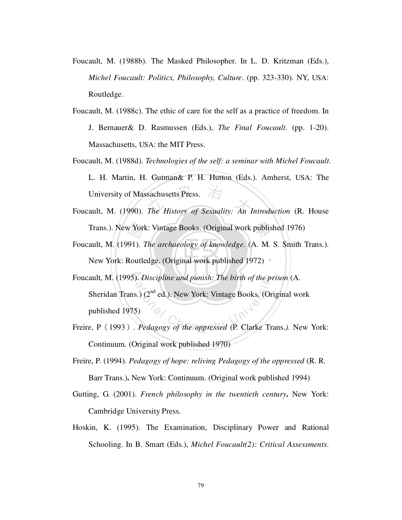- Foucault, M. (1988b). The Masked Philosopher. In L. D. Kritzman (Eds.), *Michel Foucault: Politics, Philosophy, Culture*. (pp. 323-330). NY, USA: Routledge.
- Foucault, M. (1988c). The ethic of care for the self as a practice of freedom. In J. Bernauer& D. Rasmussen (Eds.), *The Final Foucault*. (pp. 1-20). Massachusetts, USA: the MIT Press.
- University of Massachusetts Press.<br>Foucault, M. (1990). *The History of Sexuality: An Introduction* (R. House Foucault, M. (1988d). *Technologies of the self: a seminar with Michel Foucault*. L. H. Martin, H. Gutman& P. H. Hutton (Eds.). Amherst, USA: The University of Massachusetts Press.
- 
- New York: Routledge. (Original work published 1972) Trans.). New York: Vintage Books. (Original work published 1976)<br>ault, M. (1991). *The archaeology of knowledge*. (A. M. S. Smith 1<br>New York: Routledge. (Original work published 1972) Foucault, M. (1991). *The archaeology of knowledge.* (A. M. S. Smith Trans.).
- Foucault, M. (1995). *Discipline and punish: The birth of the prison* (A. Following and punish: The birth of the proposed (Oris, 2) (2<sup>nd</sup> ed.). New York: Vintage Books. (Oris) (Oris) Pedagogy of the oppressed (P. Clarke Translation Sheridan Trans.) (2<sup>nd</sup> ed.). New York: Vintage Books. (Original work published 1975)
- Freire, P(1993). *Pedagogy of the oppressed* (P. Clarke Trans.*).* New York: Continuum. (Original work published 1970)
- Freire, P. (1994). *Pedagogy of hope: reliving Pedagogy of the oppressed* (R. R. Barr Trans.)**.** New York: Continuum. (Original work published 1994)
- Gutting, G. (2001). *French philosophy in the twentieth century***.** New York: Cambridge University Press.
- Hoskin, K. (1995). The Examination, Disciplinary Power and Rational Schooling. In B. Smart (Eds.), *Michel Foucault(2): Critical Assessments*.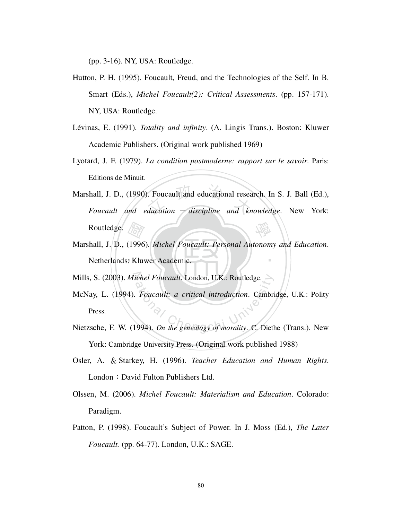(pp. 3-16). NY, USA: Routledge.

- Hutton, P. H. (1995). Foucault, Freud, and the Technologies of the Self. In B. Smart (Eds.), *Michel Foucault(2): Critical Assessments*. (pp. 157-171). NY, USA: Routledge.
- Lévinas, E. (1991). *Totality and infinity*. (A. Lingis Trans.). Boston: Kluwer Academic Publishers. (Original work published 1969)
- Lyotard, J. F. (1979). *La condition postmoderne: rapport sur le savoir*. Paris: Editions de Minuit.
- Foucault and educational resea<br>ducation discipline and kn 學 Marshall, J. D., (1990). Foucault and educational research. In S. J. Ball (Ed.), *Foucault and education* - *discipline and knowledge*. New York: Routledge.
- Netherlands: Kluwer Academic. 國 ‧ Marshall, J. D., (1996). *Michel Foucault: Personal Autonomy and Education*.
- N Mills, S. (2003). *Michel Foucault*. London, U.K.: Routledge.
- ichel Foucault. London, U.K.: Routledge.<br>Foucault: a critical introduction. Cambri<br>994). On the genealogy of morality. C. Dieth McNay, L. (1994). *Foucault: a critical introduction*. Cambridge, U.K.: Polity Press.
- Nietzsche, F. W. (1994). *On the genealogy of morality*. C. Diethe (Trans.). New York: Cambridge University Press. (Original work published 1988)
- Osler, A. & Starkey, H. (1996). *Teacher Education and Human Rights*. London: David Fulton Publishers Ltd.
- Olssen, M. (2006). *Michel Foucault: Materialism and Education*. Colorado: Paradigm.
- Patton, P. (1998). Foucault's Subject of Power. In J. Moss (Ed.), *The Later Foucault.* (pp. 64-77). London, U.K.: SAGE.